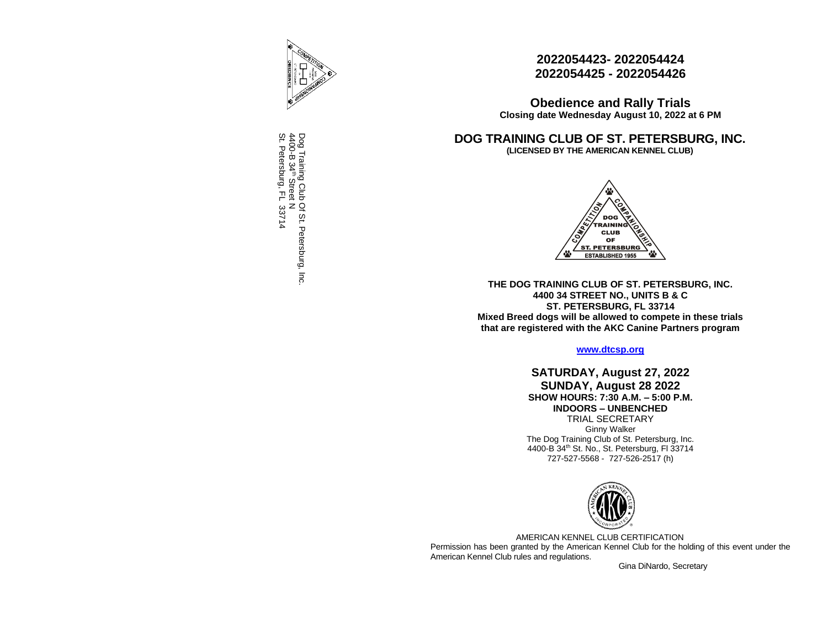

Dog Training Club Of St. Petersburg, Inc. 4400-B 34⇒ Street N St. Petersburg, FL 33714

# **2022054423- 2022054424 2022054425 - 2022054426**

**Obedience and Rally Trials Closing date Wednesday August 10, 2022 at 6 PM**

**DOG TRAINING CLUB OF ST. PETERSBURG, INC. (LICENSED BY THE AMERICAN KENNEL CLUB)**



**THE DOG TRAINING CLUB OF ST. PETERSBURG, INC. 4400 34 STREET NO., UNITS B & C ST. PETERSBURG, FL 33714 Mixed Breed dogs will be allowed to compete in these trials that are registered with the AKC Canine Partners program**

**[www.dtcsp.org](http://www.dtcsp.org/)**

**SATURDAY, August 27, 2022 SUNDAY, August 28 2022 SHOW HOURS: 7:30 A.M. – 5:00 P.M. INDOORS – UNBENCHED** TRIAL SECRETARY Ginny Walker The Dog Training Club of St. Petersburg, Inc. 4400-B 34th St. No., St. Petersburg, Fl 33714 727-527-5568 - 727-526-2517 (h)



AMERICAN KENNEL CLUB CERTIFICATION Permission has been granted by the American Kennel Club for the holding of this event under the American Kennel Club rules and regulations.

Gina DiNardo, Secretary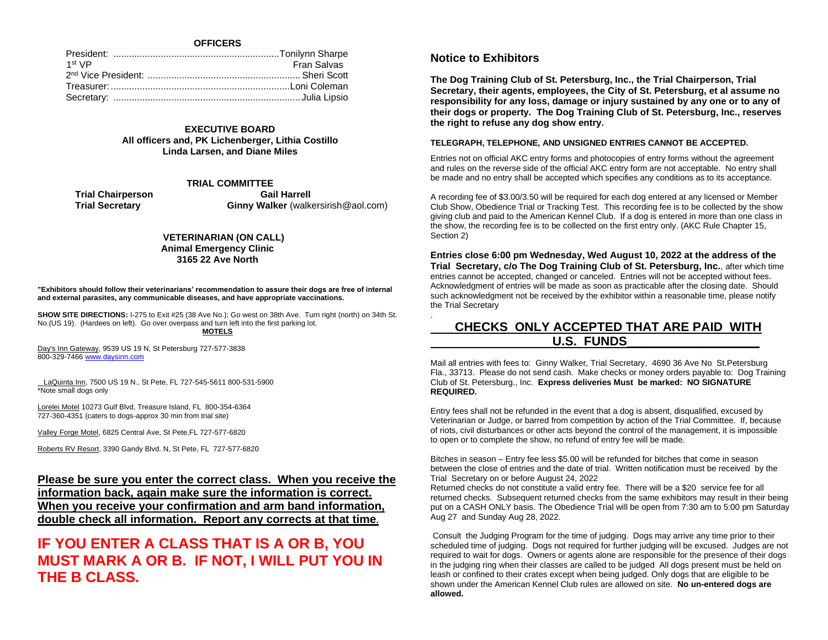# **OFFICERS**

| Fran Salvas |
|-------------|
|             |
|             |
|             |
|             |

# **EXECUTIVE BOARD All officers and, PK Lichenberger, Lithia Costillo Linda Larsen, and Diane Miles**

# **TRIAL COMMITTEE**

**Trial Chairperson** Gail Harrell **Trial Secretary Cinny Walker (walkersirish@aol.com)** 

## **VETERINARIAN (ON CALL) Animal Emergency Clinic 3165 22 Ave North**

**"Exhibitors should follow their veterinarians' recommendation to assure their dogs are free of internal and external parasites, any communicable diseases, and have appropriate vaccinations.** 

**SHOW SITE DIRECTIONS:** I-275 to Exit #25 (38 Ave No.); Go west on 38th Ave. Turn right (north) on 34th St. No.(US 19). (Hardees on left). Go over overpass and turn left into the first parking lot. **MOTELS**

Day's Inn Gateway, 9539 US 19 N, St Petersburg 727-577-3838 800-329-746[6 www.daysinn.com](http://www.daysinn.com/)

 LaQuinta Inn, 7500 US 19 N., St Pete, FL 727-545-5611 800-531-5900 \*Note small dogs only

Lorelei Motel 10273 Gulf Blvd, Treasure Island, FL 800-354-6364 727-360-4351 (caters to dogs-approx 30 min from trial site)

Valley Forge Motel, 6825 Central Ave, St Pete,FL 727-577-6820

Roberts RV Resort, 3390 Gandy Blvd. N, St Pete, FL 727-577-6820

# **Please be sure you enter the correct class. When you receive the information back, again make sure the information is correct. When you receive your confirmation and arm band information, double check all information. Report any corrects at that time.**

# **IF YOU ENTER A CLASS THAT IS A OR B, YOU MUST MARK A OR B. IF NOT, I WILL PUT YOU IN THE B CLASS.**

# **Notice to Exhibitors**

.

**The Dog Training Club of St. Petersburg, Inc., the Trial Chairperson, Trial Secretary, their agents, employees, the City of St. Petersburg, et al assume no responsibility for any loss, damage or injury sustained by any one or to any of their dogs or property. The Dog Training Club of St. Petersburg, Inc., reserves the right to refuse any dog show entry.** 

## **TELEGRAPH, TELEPHONE, AND UNSIGNED ENTRIES CANNOT BE ACCEPTED.**

Entries not on official AKC entry forms and photocopies of entry forms without the agreement and rules on the reverse side of the official AKC entry form are not acceptable. No entry shall be made and no entry shall be accepted which specifies any conditions as to its acceptance.

A recording fee of \$3.00/3.50 will be required for each dog entered at any licensed or Member Club Show, Obedience Trial or Tracking Test. This recording fee is to be collected by the show giving club and paid to the American Kennel Club. If a dog is entered in more than one class in the show, the recording fee is to be collected on the first entry only. (AKC Rule Chapter 15, Section 2)

**Entries close 6:00 pm Wednesday, Wed August 10, 2022 at the address of the Trial Secretary, c/o The Dog Training Club of St. Petersburg, Inc.**, after which time entries cannot be accepted, changed or canceled. Entries will not be accepted without fees. Acknowledgment of entries will be made as soon as practicable after the closing date. Should such acknowledgment not be received by the exhibitor within a reasonable time, please notify the Trial Secretary

# **CHECKS ONLY ACCEPTED THAT ARE PAID WITH U.S. FUNDS\_\_\_\_\_\_\_\_\_\_\_\_\_\_\_\_\_\_\_**

Mail all entries with fees to: Ginny Walker, Trial Secretary, 4690 36 Ave No St.Petersburg Fla., 33713. Please do not send cash. Make checks or money orders payable to: Dog Training Club of St. Petersburg., Inc. **Express deliveries Must be marked: NO SIGNATURE REQUIRED.**

Entry fees shall not be refunded in the event that a dog is absent, disqualified, excused by Veterinarian or Judge, or barred from competition by action of the Trial Committee. If, because of riots, civil disturbances or other acts beyond the control of the management, it is impossible to open or to complete the show, no refund of entry fee will be made.

Bitches in season – Entry fee less \$5.00 will be refunded for bitches that come in season between the close of entries and the date of trial. Written notification must be received by the Trial Secretary on or before August 24, 2022

Returned checks do not constitute a valid entry fee. There will be a \$20 service fee for all returned checks. Subsequent returned checks from the same exhibitors may result in their being put on a CASH ONLY basis. The Obedience Trial will be open from 7:30 am to 5:00 pm Saturday Aug 27 and Sunday Aug 28, 2022.

Consult the Judging Program for the time of judging. Dogs may arrive any time prior to their scheduled time of judging. Dogs not required for further judging will be excused. Judges are not required to wait for dogs. Owners or agents alone are responsible for the presence of their dogs in the judging ring when their classes are called to be judged All dogs present must be held on leash or confined to their crates except when being judged. Only dogs that are eligible to be shown under the American Kennel Club rules are allowed on site. **No un-entered dogs are allowed.**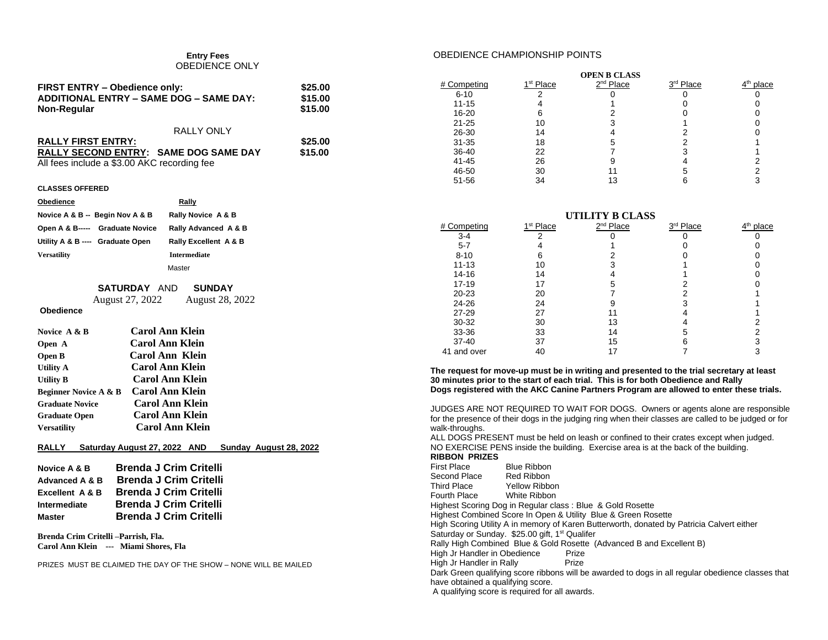#### **Entry Fees**  OBEDIENCE ONLY

| FIRST ENTRY - Obedience only:           | \$25.00 |
|-----------------------------------------|---------|
| ADDITIONAL ENTRY - SAME DOG - SAME DAY: | \$15.00 |
| Non-Regular                             | \$15.00 |

| <b>RALLY ONLY</b>                            |         |
|----------------------------------------------|---------|
| <b>RALLY FIRST ENTRY:</b>                    | \$25.00 |
| <b>RALLY SECOND ENTRY: SAME DOG SAME DAY</b> | \$15.00 |
| All fees include a \$3.00 AKC recording fee  |         |

#### **CLASSES OFFERED**

| <b>Obedience</b>                | Rally                 |
|---------------------------------|-----------------------|
| Novice A & B -- Begin Nov A & B | Rally Novice A & B    |
| Open A & B----- Graduate Novice | Rally Advanced A & B  |
| Utility A & B --- Graduate Open | Rally Excellent A & B |
| <b>Versatility</b>              | <b>Intermediate</b>   |
|                                 | Master                |

# **SATURDAY** AND **SUNDAY**

August 27, 2022 August 28, 2022

# **Obedience**

| Novice A & B                     | <b>Carol Ann Klein</b> |
|----------------------------------|------------------------|
| Open A                           | <b>Carol Ann Klein</b> |
| Open B                           | Carol Ann Klein        |
| <b>Utility A</b>                 | Carol Ann Klein        |
| <b>Utility B</b>                 | <b>Carol Ann Klein</b> |
| <b>Beginner Novice A &amp; B</b> | Carol Ann Klein        |
| <b>Graduate Novice</b>           | Carol Ann Klein        |
| <b>Graduate Open</b>             | <b>Carol Ann Klein</b> |
| <b>Versatility</b>               | <b>Carol Ann Klein</b> |

# **RALLY Saturday August 27, 2022 AND Sunday August 28, 2022**

| Novice A & B               | <b>Brenda J Crim Critelli</b> |
|----------------------------|-------------------------------|
| Advanced A & B             | <b>Brenda J Crim Critelli</b> |
| <b>Excellent A &amp; B</b> | <b>Brenda J Crim Critelli</b> |
| Intermediate               | <b>Brenda J Crim Critelli</b> |
| <b>Master</b>              | <b>Brenda J Crim Critelli</b> |

**Brenda Crim Critelli –Parrish, Fla. Carol Ann Klein --- Miami Shores, Fla**

PRIZES MUST BE CLAIMED THE DAY OF THE SHOW – NONE WILL BE MAILED

# OBEDIENCE CHAMPIONSHIP POINTS

|             |                       | <b>OPEN B CLASS</b>   |           |                       |
|-------------|-----------------------|-----------------------|-----------|-----------------------|
| # Competing | 1 <sup>st</sup> Place | 2 <sup>nd</sup> Place | 3rd Place | 4 <sup>th</sup> place |
| $6 - 10$    |                       |                       |           |                       |
| $11 - 15$   |                       |                       |           |                       |
| 16-20       |                       |                       |           |                       |
| $21 - 25$   | 10                    |                       |           |                       |
| 26-30       | 14                    |                       |           |                       |
| $31 - 35$   | 18                    |                       |           |                       |
| 36-40       | 22                    |                       |           |                       |
| $41 - 45$   | 26                    |                       |           |                       |
| 46-50       | 30                    |                       | 5         |                       |
| 51-56       | 34                    | 13                    |           |                       |

| UTILITY B CLASS |                       |                       |                       |                       |
|-----------------|-----------------------|-----------------------|-----------------------|-----------------------|
| # Competing     | 1 <sup>st</sup> Place | 2 <sup>nd</sup> Place | 3 <sup>rd</sup> Place | 4 <sup>th</sup> place |
| $3-4$           |                       |                       |                       |                       |
| $5 - 7$         |                       |                       |                       |                       |
| $8 - 10$        | 6                     |                       |                       |                       |
| $11 - 13$       | 10                    | 3                     |                       |                       |
| 14-16           | 14                    |                       |                       |                       |
| $17 - 19$       | 17                    | 5                     |                       |                       |
| $20 - 23$       | 20                    |                       | 2                     |                       |
| 24-26           | 24                    |                       | 3                     |                       |
| $27 - 29$       | 27                    |                       |                       |                       |
| 30-32           | 30                    | 13                    |                       |                       |
| 33-36           | 33                    | 14                    | 5                     | っ                     |
| $37 - 40$       | 37                    | 15                    | 6                     |                       |
| 41 and over     | 40                    |                       |                       |                       |

**The request for move-up must be in writing and presented to the trial secretary at least 30 minutes prior to the start of each trial. This is for both Obedience and Rally Dogs registered with the AKC Canine Partners Program are allowed to enter these trials.**

JUDGES ARE NOT REQUIRED TO WAIT FOR DOGS. Owners or agents alone are responsible for the presence of their dogs in the judging ring when their classes are called to be judged or for walk-throughs.

ALL DOGS PRESENT must be held on leash or confined to their crates except when judged. NO EXERCISE PENS inside the building. Exercise area is at the back of the building.

# **RIBBON PRIZES**

| First Place                                                | Blue Ribbon   |                                                                                                   |
|------------------------------------------------------------|---------------|---------------------------------------------------------------------------------------------------|
| Second Place Red Ribbon                                    |               |                                                                                                   |
| Third Place                                                | Yellow Ribbon |                                                                                                   |
| Fourth Place                                               | White Ribbon  |                                                                                                   |
|                                                            |               | Highest Scoring Dog in Regular class: Blue & Gold Rosette                                         |
|                                                            |               | Highest Combined Score In Open & Utility Blue & Green Rosette                                     |
|                                                            |               | High Scoring Utility A in memory of Karen Butterworth, donated by Patricia Calvert either         |
| Saturday or Sunday. \$25.00 gift, 1 <sup>st</sup> Qualifer |               |                                                                                                   |
|                                                            |               | Rally High Combined Blue & Gold Rosette (Advanced B and Excellent B)                              |
| High Jr Handler in Obedience                               |               | Prize                                                                                             |
| High Jr Handler in Rally                                   |               | Prize                                                                                             |
|                                                            |               | Dark Green qualifying score ribbons will be awarded to dogs in all regular obedience classes that |
| have obtained a qualifying score.                          |               |                                                                                                   |
| A qualifying score is required for all awards.             |               |                                                                                                   |
|                                                            |               |                                                                                                   |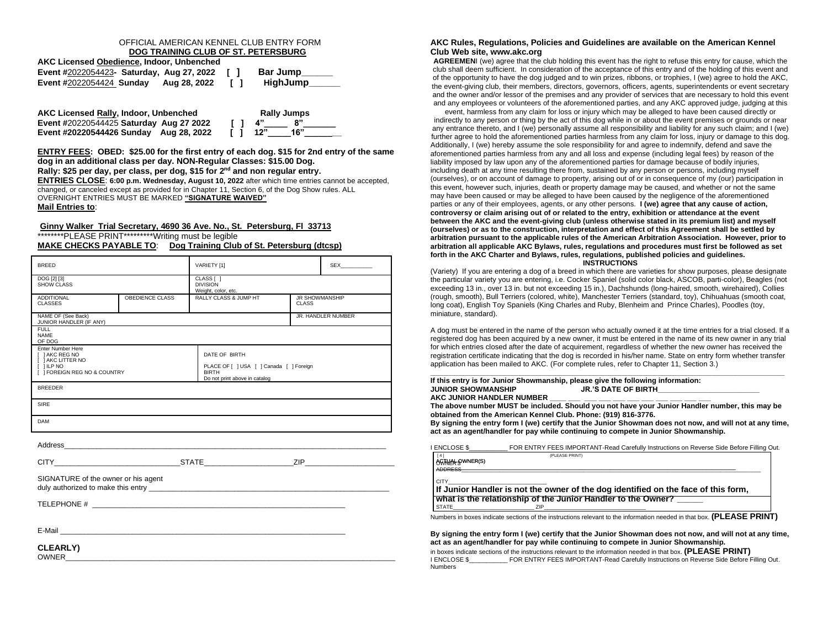## OFFICIAL AMERICAN KENNEL CLUB ENTRY FORM **DOG TRAINING CLUB OF ST. PETERSBURG**

| AKC Licensed Obedience, Indoor, Unbenched |              |        |          |  |
|-------------------------------------------|--------------|--------|----------|--|
| Event #2022054423- Saturday, Aug 27, 2022 |              | $\Box$ | Bar Jump |  |
| <b>Event #2022054424 Sunday</b>           | Aug 28, 2022 | $\Box$ | HighJump |  |

**AKC Licensed Rally, Indoor, Unbenched Rally Jumps Event #**20220544425 **Saturday Aug 27 2022 [ ] 4"\_\_\_\_\_ 8"\_\_\_\_\_\_\_ Event #20220544426 Sunday Aug 28, 2022 [ ] 12"\_\_\_\_\_16"\_\_\_\_\_\_\_\_**

**ENTRY FEES: OBED: \$25.00 for the first entry of each dog. \$15 for 2nd entry of the same dog in an additional class per day. NON-Regular Classes: \$15.00 Dog. Rally: \$25 per day, per class, per dog, \$15 for 2nd and non regular entry. ENTRIES CLOSE**: **6:00 p.m. Wednesday, August 10, 2022** after which time entries cannot be accepted, changed, or canceled except as provided for in Chapter 11, Section 6, of the Dog Show rules. ALL OVERNIGHT ENTRIES MUST BE MARKED **"SIGNATURE WAIVED" Mail Entries to**:

## **Ginny Walker Trial Secretary, 4690 36 Ave. No., St. Petersburg, Fl 33713** \*\*\*\*\*\*\*\*PLEASE PRINT\*\*\*\*\*\*\*\*\*Writing must be legible

**MAKE CHECKS PAYABLE TO**: **Dog Training Club of St. Petersburg (dtcsp)**

| <b>BREED</b>                                                                                                     |                 | VARIETY [1]                                                                              |                                       | <b>SEX SEX</b>     |
|------------------------------------------------------------------------------------------------------------------|-----------------|------------------------------------------------------------------------------------------|---------------------------------------|--------------------|
| DOG [2] [3]<br><b>SHOW CLASS</b>                                                                                 |                 | CLASS [ ]<br><b>DIVISION</b><br>Weight, color, etc.                                      |                                       |                    |
| <b>ADDITIONAL</b><br><b>CLASSES</b>                                                                              | OBEDIENCE CLASS | RALLY CLASS & JUMP HT                                                                    | <b>JR SHOWMANSHIP</b><br><b>CLASS</b> |                    |
| NAME OF (See Back)<br>JUNIOR HANDLER (IF ANY)                                                                    |                 |                                                                                          |                                       | JR. HANDLER NUMBER |
| <b>FULL</b><br><b>NAME</b><br>OF DOG                                                                             |                 |                                                                                          |                                       |                    |
| <b>Enter Number Here</b><br>I 1 AKC REG NO                                                                       |                 | DATE OF BIRTH                                                                            |                                       |                    |
| I JAKC LITTER NO<br>$[$ $]$ ILP NO<br>I I FOREIGN REG NO & COUNTRY                                               |                 | PLACE OF [ ] USA [ ] Canada [ ] Foreign<br><b>BIRTH</b><br>Do not print above in catalog |                                       |                    |
| <b>BREEDER</b>                                                                                                   |                 |                                                                                          |                                       |                    |
| <b>SIRE</b>                                                                                                      |                 |                                                                                          |                                       |                    |
| <b>DAM</b>                                                                                                       |                 |                                                                                          |                                       |                    |
|                                                                                                                  |                 |                                                                                          |                                       |                    |
|                                                                                                                  |                 |                                                                                          |                                       |                    |
| SIGNATURE of the owner or his agent                                                                              |                 |                                                                                          |                                       |                    |
|                                                                                                                  |                 |                                                                                          |                                       |                    |
|                                                                                                                  |                 |                                                                                          |                                       |                    |
| E-Mail <b>E-Mail E-Mail E-Mail E-Mail <b>E-Mail E-Mail E-Mail <b>E-Mail E-Mail E-Mail E-Mail E-Mail </b></b></b> |                 |                                                                                          |                                       |                    |
| <b>CLEARLY)</b>                                                                                                  |                 |                                                                                          |                                       |                    |

## **AKC Rules, Regulations, Policies and Guidelines are available on the American Kennel Club Web site, www.akc.org**

**AGREEMEN**I (we) agree that the club holding this event has the right to refuse this entry for cause, which the club shall deem sufficient. In consideration of the acceptance of this entry and of the holding of this event and of the opportunity to have the dog judged and to win prizes, ribbons, or trophies, I (we) agree to hold the AKC, the event-giving club, their members, directors, governors, officers, agents, superintendents or event secretary and the owner and/or lessor of the premises and any provider of services that are necessary to hold this event and any employees or volunteers of the aforementioned parties, and any AKC approved judge, judging at this

event, harmless from any claim for loss or injury which may be alleged to have been caused directly or indirectly to any person or thing by the act of this dog while in or about the event premises or grounds or near any entrance thereto, and I (we) personally assume all responsibility and liability for any such claim; and I (we) further agree to hold the aforementioned parties harmless from any claim for loss, injury or damage to this dog. Additionally, I (we) hereby assume the sole responsibility for and agree to indemnify, defend and save the aforementioned parties harmless from any and all loss and expense (including legal fees) by reason of the liability imposed by law upon any of the aforementioned parties for damage because of bodily injuries, including death at any time resulting there from, sustained by any person or persons, including myself (ourselves), or on account of damage to property, arising out of or in consequence of my (our) participation in this event, however such, injuries, death or property damage may be caused, and whether or not the same may have been caused or may be alleged to have been caused by the negligence of the aforementioned parties or any of their employees, agents, or any other persons. **I (we) agree that any cause of action, controversy or claim arising out of or related to the entry, exhibition or attendance at the event between the AKC and the event-giving club (unless otherwise stated in its premium list) and myself (ourselves) or as to the construction, interpretation and effect of this Agreement shall be settled by arbitration pursuant to the applicable rules of the American Arbitration Association. However, prior to arbitration all applicable AKC Bylaws, rules, regulations and procedures must first be followed as set forth in the AKC Charter and Bylaws, rules, regulations, published policies and guidelines. INSTRUCTIONS**

(Variety) If you are entering a dog of a breed in which there are varieties for show purposes, please designate the particular variety you are entering, i.e. Cocker Spaniel (solid color black, ASCOB, parti-color), Beagles (not exceeding 13 in., over 13 in. but not exceeding 15 in.), Dachshunds (long-haired, smooth, wirehaired), Collies (rough, smooth), Bull Terriers (colored, white), Manchester Terriers (standard, toy), Chihuahuas (smooth coat, long coat), English Toy Spaniels (King Charles and Ruby, Blenheim and Prince Charles), Poodles (toy, miniature, standard).

A dog must be entered in the name of the person who actually owned it at the time entries for a trial closed. If a registered dog has been acquired by a new owner, it must be entered in the name of its new owner in any trial for which entries closed after the date of acquirement, regardless of whether the new owner has received the registration certificate indicating that the dog is recorded in his/her name. State on entry form whether transfer application has been mailed to AKC. (For complete rules, refer to Chapter 11, Section 3.)

|                           | If this entry is for Junior Showmanship, please give the following information: |  |
|---------------------------|---------------------------------------------------------------------------------|--|
| <b>JUNIOR SHOWMANSHIP</b> | <b>JR.'S DATE OF BIRTH</b>                                                      |  |
| AKC JUNIOR HANDLER NUMBER |                                                                                 |  |
|                           |                                                                                 |  |

**The above number MUST be included. Should you not have your Junior Handler number, this may be obtained from the American Kennel Club. Phone: (919) 816-3776.**

**By signing the entry form I (we) certify that the Junior Showman does not now, and will not at any time, act as an agent/handler for pay while continuing to compete in Junior Showmanship.**

|                                                                                    | I ENCLOSE \$                                                 | FOR ENTRY FEES IMPORTANT-Read Carefully Instructions on Reverse Side Before Filling Out.                                       |  |  |  |  |  |  |
|------------------------------------------------------------------------------------|--------------------------------------------------------------|--------------------------------------------------------------------------------------------------------------------------------|--|--|--|--|--|--|
|                                                                                    | [4]<br>AGTHAL OWNER(S)                                       | (PLEASE PRINT)                                                                                                                 |  |  |  |  |  |  |
|                                                                                    | <b>ADDRESS</b>                                               |                                                                                                                                |  |  |  |  |  |  |
|                                                                                    | CITY                                                         |                                                                                                                                |  |  |  |  |  |  |
| If Junior Handler is not the owner of the dog identified on the face of this form, |                                                              |                                                                                                                                |  |  |  |  |  |  |
|                                                                                    | what is the relationship of the Junior Handler to the Owner? |                                                                                                                                |  |  |  |  |  |  |
|                                                                                    | <b>STATE</b>                                                 | 7IP.                                                                                                                           |  |  |  |  |  |  |
|                                                                                    |                                                              | Numbers in haves indicate continue of the instructions relationship the information needed in that have <b>/DI EASE DDINT\</b> |  |  |  |  |  |  |

Numbers in boxes indicate sections of the instructions relevant to the information needed in that box. **(PLEASE PRINT)**

**By signing the entry form I (we) certify that the Junior Showman does not now, and will not at any time, act as an agent/handler for pay while continuing to compete in Junior Showmanship.**

in boxes indicate sections of the instructions relevant to the information needed in that box. **(PLEASE PRINT)** FOR ENTRY FEES IMPORTANT-Read Carefully Instructions on Reverse Side Before Filling Out. Numbers